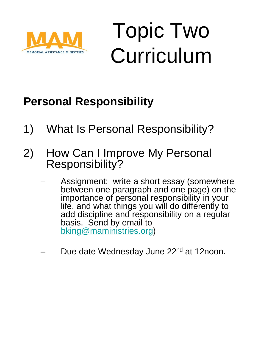

# Topic Two Curriculum

### **Personal Responsibility**

- 1) What Is Personal Responsibility?
- 2) How Can I Improve My Personal Responsibility?
	- Assignment: write a short essay (somewhere between one paragraph and one page) on the importance of personal responsibility in your life, and what things you will do differently to add discipline and responsibility on a regular basis. Send by email to [bking@maministries.org](mailto:bking@maministries.org))
	- Due date Wednesday June 22<sup>nd</sup> at 12noon.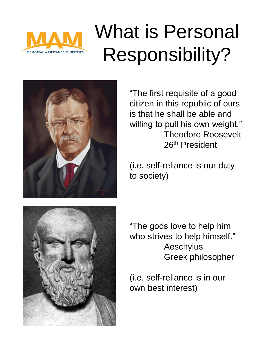

# What is Personal Responsibility?



"The first requisite of a good citizen in this republic of ours is that he shall be able and willing to pull his own weight." Theodore Roosevelt 26th President

(i.e. self-reliance is our duty to society)



"The gods love to help him who strives to help himself." Aeschylus Greek philosopher

(i.e. self-reliance is in our own best interest)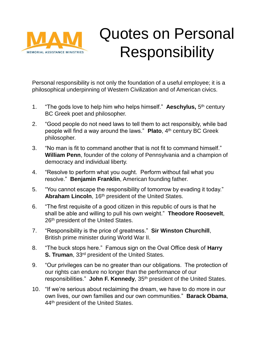

### Quotes on Personal **Responsibility**

Personal responsibility is not only the foundation of a useful employee; it is a philosophical underpinning of Western Civilization and of American civics.

- 1. "The gods love to help him who helps himself." **Aeschylus,** 5 th century BC Greek poet and philosopher.
- 2. "Good people do not need laws to tell them to act responsibly, while bad people will find a way around the laws." **Plato**, 4th century BC Greek philosopher.
- 3. "No man is fit to command another that is not fit to command himself." **William Penn**, founder of the colony of Pennsylvania and a champion of democracy and individual liberty.
- 4. "Resolve to perform what you ought. Perform without fail what you resolve." **Benjamin Franklin**, American founding father.
- 5. "You cannot escape the responsibility of tomorrow by evading it today." Abraham Lincoln, 16<sup>th</sup> president of the United States.
- 6. "The first requisite of a good citizen in this republic of ours is that he shall be able and willing to pull his own weight." **Theodore Roosevelt**, 26<sup>th</sup> president of the United States.
- 7. "Responsibility is the price of greatness." **Sir Winston Churchill**, British prime minister during World War II.
- 8. "The buck stops here." Famous sign on the Oval Office desk of **Harry S. Truman, 33rd president of the United States.**
- 9. "Our privileges can be no greater than our obligations. The protection of our rights can endure no longer than the performance of our responsibilities." **John F. Kennedy**, 35th president of the United States.
- 10. "If we're serious about reclaiming the dream, we have to do more in our own lives, our own families and our own communities." **Barack Obama**, 44<sup>th</sup> president of the United States.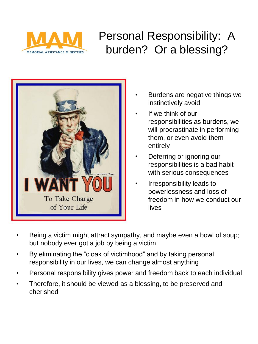

### Personal Responsibility: A burden? Or a blessing?



- Burdens are negative things we instinctively avoid
- If we think of our responsibilities as burdens, we will procrastinate in performing them, or even avoid them entirely
- Deferring or ignoring our responsibilities is a bad habit with serious consequences
- Irresponsibility leads to powerlessness and loss of freedom in how we conduct our lives
- Being a victim might attract sympathy, and maybe even a bowl of soup; but nobody ever got a job by being a victim
- By eliminating the "cloak of victimhood" and by taking personal responsibility in our lives, we can change almost anything
- Personal responsibility gives power and freedom back to each individual
- Therefore, it should be viewed as a blessing, to be preserved and cherished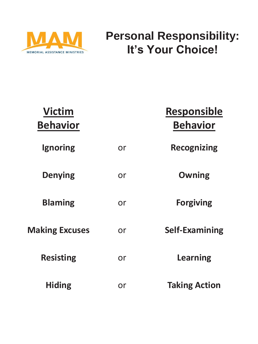

#### **Personal Responsibility: It's Your Choice!**

| <b>Victim</b><br><b>Behavior</b> |    | <b>Responsible</b><br><b>Behavior</b> |
|----------------------------------|----|---------------------------------------|
| Ignoring                         | or | <b>Recognizing</b>                    |
| <b>Denying</b>                   | or | <b>Owning</b>                         |
| <b>Blaming</b>                   | or | <b>Forgiving</b>                      |
| <b>Making Excuses</b>            | or | <b>Self-Examining</b>                 |
| <b>Resisting</b>                 | or | Learning                              |
| <b>Hiding</b>                    | or | <b>Taking Action</b>                  |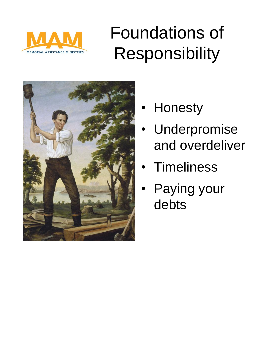

## Foundations of Responsibility



- **Honesty** 
	- **Underpromise** and overdeliver
	- **Timeliness**
- Paying your debts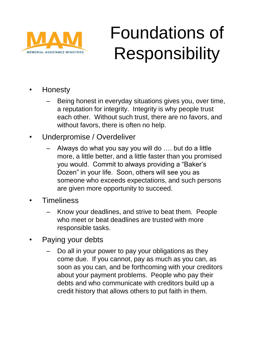

## Foundations of Responsibility

- Honesty
	- Being honest in everyday situations gives you, over time, a reputation for integrity. Integrity is why people trust each other. Without such trust, there are no favors, and without favors, there is often no help.
- Underpromise / Overdeliver
	- Always do what you say you will do …. but do a little more, a little better, and a little faster than you promised you would. Commit to always providing a "Baker's Dozen" in your life. Soon, others will see you as someone who exceeds expectations, and such persons are given more opportunity to succeed.
- Timeliness
	- Know your deadlines, and strive to beat them. People who meet or beat deadlines are trusted with more responsible tasks.
- Paying your debts
	- Do all in your power to pay your obligations as they come due. If you cannot, pay as much as you can, as soon as you can, and be forthcoming with your creditors about your payment problems. People who pay their debts and who communicate with creditors build up a credit history that allows others to put faith in them.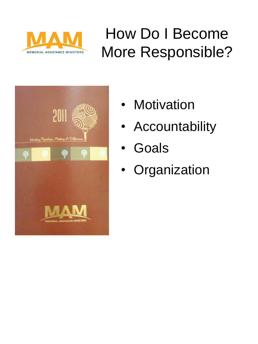

## How Do I Become More Responsible?



- **Motivation**
- Accountability
- **Goals**
- Organization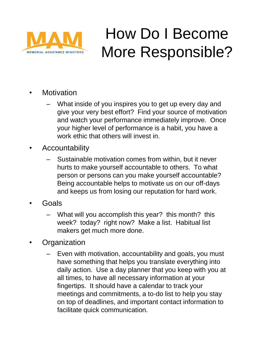

### How Do I Become More Responsible?

- **Motivation** 
	- What inside of you inspires you to get up every day and give your very best effort? Find your source of motivation and watch your performance immediately improve. Once your higher level of performance is a habit, you have a work ethic that others will invest in.
- **Accountability** 
	- Sustainable motivation comes from within, but it never hurts to make yourself accountable to others. To what person or persons can you make yourself accountable? Being accountable helps to motivate us on our off-days and keeps us from losing our reputation for hard work.
- Goals
	- What will you accomplish this year? this month? this week? today? right now? Make a list. Habitual list makers get much more done.
- **Organization** 
	- Even with motivation, accountability and goals, you must have something that helps you translate everything into daily action. Use a day planner that you keep with you at all times, to have all necessary information at your fingertips. It should have a calendar to track your meetings and commitments, a to-do list to help you stay on top of deadlines, and important contact information to facilitate quick communication.